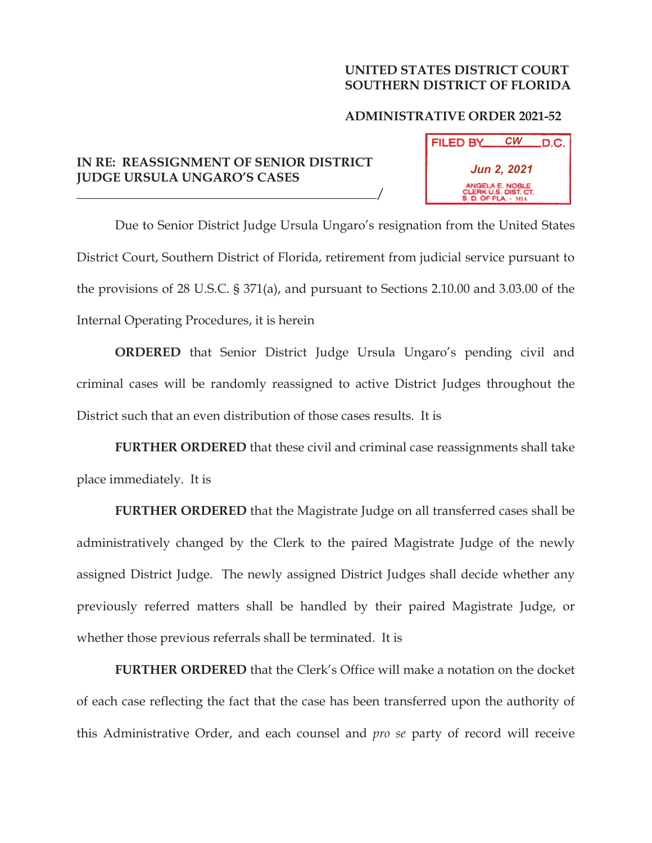## **UNITED STATES DISTRICT COURT SOUTHERN DISTRICT OF FLORIDA**

## **ADMINISTRATIVE ORDER 2021-52**

## **IN RE: REASSIGNMENT OF SENIOR DISTRICT JUDGE URSULA UNGARO'S CASES**

\_\_\_\_\_\_\_\_\_\_\_\_\_\_\_\_\_\_\_\_\_\_\_\_\_\_\_\_\_\_\_\_\_\_\_\_\_\_\_\_\_\_\_\_\_\_\_/



Due to Senior District Judge Ursula Ungaro's resignation from the United States District Court, Southern District of Florida, retirement from judicial service pursuant to the provisions of 28 U.S.C. § 371(a), and pursuant to Sections 2.10.00 and 3.03.00 of the Internal Operating Procedures, it is herein

**ORDERED** that Senior District Judge Ursula Ungaro's pending civil and criminal cases will be randomly reassigned to active District Judges throughout the District such that an even distribution of those cases results. It is

**FURTHER ORDERED** that these civil and criminal case reassignments shall take place immediately. It is

**FURTHER ORDERED** that the Magistrate Judge on all transferred cases shall be administratively changed by the Clerk to the paired Magistrate Judge of the newly assigned District Judge. The newly assigned District Judges shall decide whether any previously referred matters shall be handled by their paired Magistrate Judge, or whether those previous referrals shall be terminated. It is

**FURTHER ORDERED** that the Clerk's Office will make a notation on the docket of each case reflecting the fact that the case has been transferred upon the authority of this Administrative Order, and each counsel and *pro se* party of record will receive